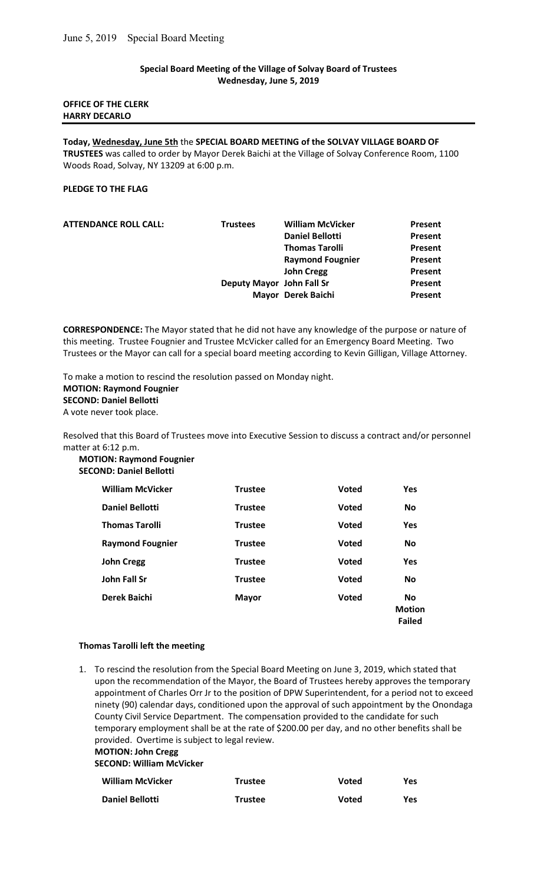# Special Board Meeting of the Village of Solvay Board of Trustees Wednesday, June 5, 2019

# OFFICE OF THE CLERK HARRY DECARLO

Today, Wednesday, June 5th the SPECIAL BOARD MEETING of the SOLVAY VILLAGE BOARD OF TRUSTEES was called to order by Mayor Derek Baichi at the Village of Solvay Conference Room, 1100 Woods Road, Solvay, NY 13209 at 6:00 p.m.

# PLEDGE TO THE FLAG

| <b>ATTENDANCE ROLL CALL:</b> | <b>Trustees</b> | <b>William McVicker</b>   | Present        |
|------------------------------|-----------------|---------------------------|----------------|
|                              |                 | <b>Daniel Bellotti</b>    | Present        |
|                              |                 | <b>Thomas Tarolli</b>     | Present        |
|                              |                 | <b>Raymond Fougnier</b>   | <b>Present</b> |
|                              |                 | <b>John Cregg</b>         | Present        |
|                              |                 | Deputy Mayor John Fall Sr | Present        |
|                              |                 | Mayor Derek Baichi        | Present        |
|                              |                 |                           |                |

CORRESPONDENCE: The Mayor stated that he did not have any knowledge of the purpose or nature of this meeting. Trustee Fougnier and Trustee McVicker called for an Emergency Board Meeting. Two Trustees or the Mayor can call for a special board meeting according to Kevin Gilligan, Village Attorney.

To make a motion to rescind the resolution passed on Monday night. MOTION: Raymond Fougnier SECOND: Daniel Bellotti A vote never took place.

Resolved that this Board of Trustees move into Executive Session to discuss a contract and/or personnel matter at 6:12 p.m.

MOTION: Raymond Fougnier SECOND: Daniel Bellotti

| <b>William McVicker</b> | <b>Trustee</b> | <b>Voted</b> | Yes                                  |
|-------------------------|----------------|--------------|--------------------------------------|
| <b>Daniel Bellotti</b>  | <b>Trustee</b> | <b>Voted</b> | No                                   |
| <b>Thomas Tarolli</b>   | <b>Trustee</b> | <b>Voted</b> | Yes                                  |
| <b>Raymond Fougnier</b> | <b>Trustee</b> | <b>Voted</b> | <b>No</b>                            |
| <b>John Cregg</b>       | <b>Trustee</b> | <b>Voted</b> | Yes                                  |
| <b>John Fall Sr</b>     | <b>Trustee</b> | <b>Voted</b> | <b>No</b>                            |
| <b>Derek Baichi</b>     | <b>Mayor</b>   | <b>Voted</b> | <b>No</b><br><b>Motion</b><br>Failed |

# Thomas Tarolli left the meeting

1. To rescind the resolution from the Special Board Meeting on June 3, 2019, which stated that upon the recommendation of the Mayor, the Board of Trustees hereby approves the temporary appointment of Charles Orr Jr to the position of DPW Superintendent, for a period not to exceed ninety (90) calendar days, conditioned upon the approval of such appointment by the Onondaga County Civil Service Department. The compensation provided to the candidate for such temporary employment shall be at the rate of \$200.00 per day, and no other benefits shall be provided. Overtime is subject to legal review.

MOTION: John Cregg

SECOND: William McVicker

| <b>William McVicker</b> | <b>Trustee</b> | Voted | Yes        |
|-------------------------|----------------|-------|------------|
| Daniel Bellotti         | <b>Trustee</b> | Voted | <b>Yes</b> |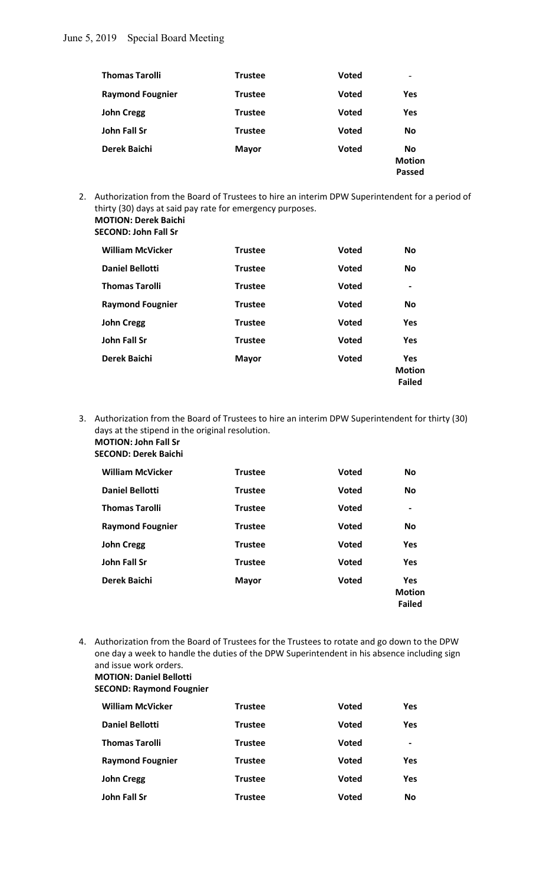# June 5, 2019 Special Board Meeting

| <b>Thomas Tarolli</b>   | <b>Trustee</b> | <b>Voted</b> | $\qquad \qquad \blacksquare$                |
|-------------------------|----------------|--------------|---------------------------------------------|
| <b>Raymond Fougnier</b> | Trustee        | <b>Voted</b> | <b>Yes</b>                                  |
| <b>John Cregg</b>       | Trustee        | <b>Voted</b> | <b>Yes</b>                                  |
| John Fall Sr            | <b>Trustee</b> | <b>Voted</b> | <b>No</b>                                   |
| Derek Baichi            | <b>Mayor</b>   | <b>Voted</b> | <b>No</b><br><b>Motion</b><br><b>Passed</b> |

2. Authorization from the Board of Trustees to hire an interim DPW Superintendent for a period of thirty (30) days at said pay rate for emergency purposes. MOTION: Derek Baichi

SECOND: John Fall Sr

| <b>William McVicker</b> | <b>Trustee</b> | <b>Voted</b> | <b>No</b>                                    |
|-------------------------|----------------|--------------|----------------------------------------------|
| <b>Daniel Bellotti</b>  | <b>Trustee</b> | <b>Voted</b> | <b>No</b>                                    |
| <b>Thomas Tarolli</b>   | <b>Trustee</b> | <b>Voted</b> | $\overline{\phantom{a}}$                     |
| <b>Raymond Fougnier</b> | <b>Trustee</b> | <b>Voted</b> | <b>No</b>                                    |
| <b>John Cregg</b>       | <b>Trustee</b> | <b>Voted</b> | <b>Yes</b>                                   |
| <b>John Fall Sr</b>     | <b>Trustee</b> | <b>Voted</b> | <b>Yes</b>                                   |
| Derek Baichi            | <b>Mayor</b>   | <b>Voted</b> | <b>Yes</b><br><b>Motion</b><br><b>Failed</b> |

3. Authorization from the Board of Trustees to hire an interim DPW Superintendent for thirty (30) days at the stipend in the original resolution.

#### MOTION: John Fall Sr SECOND: Derek Baichi

| <b>William McVicker</b> | <b>Trustee</b> | <b>Voted</b> | <b>No</b>                             |
|-------------------------|----------------|--------------|---------------------------------------|
| <b>Daniel Bellotti</b>  | <b>Trustee</b> | <b>Voted</b> | <b>No</b>                             |
| <b>Thomas Tarolli</b>   | <b>Trustee</b> | <b>Voted</b> | $\overline{\phantom{a}}$              |
| <b>Raymond Fougnier</b> | <b>Trustee</b> | <b>Voted</b> | <b>No</b>                             |
| <b>John Cregg</b>       | <b>Trustee</b> | <b>Voted</b> | Yes                                   |
| <b>John Fall Sr</b>     | <b>Trustee</b> | <b>Voted</b> | Yes                                   |
| Derek Baichi            | <b>Mayor</b>   | <b>Voted</b> | Yes<br><b>Motion</b><br><b>Failed</b> |

4. Authorization from the Board of Trustees for the Trustees to rotate and go down to the DPW one day a week to handle the duties of the DPW Superintendent in his absence including sign and issue work orders. MOTION: Daniel Bellotti

# SECOND: Raymond Fougnier

| <b>William McVicker</b> | <b>Trustee</b> | <b>Voted</b> | <b>Yes</b>                                                                                                                                                   |  |
|-------------------------|----------------|--------------|--------------------------------------------------------------------------------------------------------------------------------------------------------------|--|
| <b>Daniel Bellotti</b>  | Trustee        | <b>Voted</b> | <b>Yes</b>                                                                                                                                                   |  |
| <b>Thomas Tarolli</b>   | Trustee        | <b>Voted</b> | $\hskip1.6pt\hskip1.6pt\hskip1.6pt\hskip1.6pt\hskip1.6pt\hskip1.6pt\hskip1.6pt\hskip1.6pt\hskip1.6pt\hskip1.6pt\hskip1.6pt\hskip1.6pt\hskip1.6pt\hskip1.6pt$ |  |
| <b>Raymond Fougnier</b> | Trustee        | <b>Voted</b> | Yes.                                                                                                                                                         |  |
| <b>John Cregg</b>       | <b>Trustee</b> | <b>Voted</b> | <b>Yes</b>                                                                                                                                                   |  |
| John Fall Sr            | Trustee        | <b>Voted</b> | <b>No</b>                                                                                                                                                    |  |